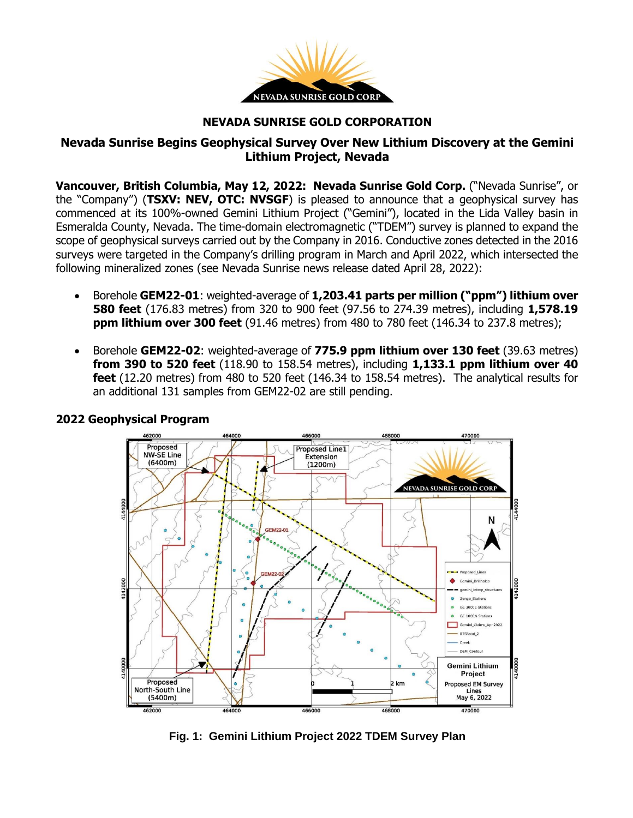

#### **NEVADA SUNRISE GOLD CORPORATION**

# **Nevada Sunrise Begins Geophysical Survey Over New Lithium Discovery at the Gemini Lithium Project, Nevada**

**Vancouver, British Columbia, May 12, 2022: Nevada Sunrise Gold Corp.** ("Nevada Sunrise", or the "Company") (**TSXV: NEV, OTC: NVSGF**) is pleased to announce that a geophysical survey has commenced at its 100%-owned Gemini Lithium Project ("Gemini"), located in the Lida Valley basin in Esmeralda County, Nevada. The time-domain electromagnetic ("TDEM") survey is planned to expand the scope of geophysical surveys carried out by the Company in 2016. Conductive zones detected in the 2016 surveys were targeted in the Company's drilling program in March and April 2022, which intersected the following mineralized zones (see Nevada Sunrise news release dated April 28, 2022):

- Borehole **GEM22-01**: weighted-average of **1,203.41 parts per million ("ppm") lithium over 580 feet** (176.83 metres) from 320 to 900 feet (97.56 to 274.39 metres), including **1,578.19 ppm lithium over 300 feet** (91.46 metres) from 480 to 780 feet (146.34 to 237.8 metres);
- Borehole **GEM22-02**: weighted-average of **775.9 ppm lithium over 130 feet** (39.63 metres) **from 390 to 520 feet** (118.90 to 158.54 metres), including **1,133.1 ppm lithium over 40 feet** (12.20 metres) from 480 to 520 feet (146.34 to 158.54 metres). The analytical results for an additional 131 samples from GEM22-02 are still pending.



## **2022 Geophysical Program**

**Fig. 1: Gemini Lithium Project 2022 TDEM Survey Plan**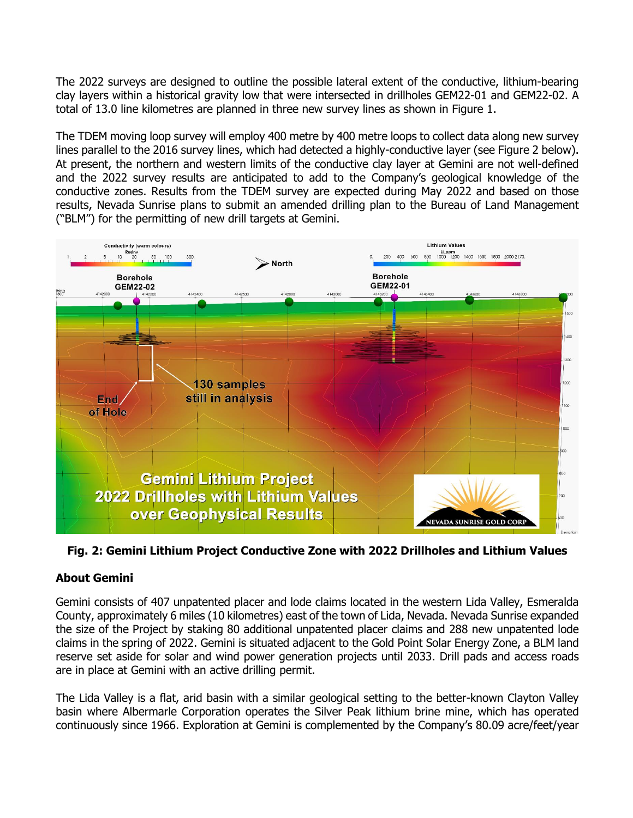The 2022 surveys are designed to outline the possible lateral extent of the conductive, lithium-bearing clay layers within a historical gravity low that were intersected in drillholes GEM22-01 and GEM22-02. A total of 13.0 line kilometres are planned in three new survey lines as shown in Figure 1.

The TDEM moving loop survey will employ 400 metre by 400 metre loops to collect data along new survey lines parallel to the 2016 survey lines, which had detected a highly-conductive layer (see Figure 2 below). At present, the northern and western limits of the conductive clay layer at Gemini are not well-defined and the 2022 survey results are anticipated to add to the Company's geological knowledge of the conductive zones. Results from the TDEM survey are expected during May 2022 and based on those results, Nevada Sunrise plans to submit an amended drilling plan to the Bureau of Land Management ("BLM") for the permitting of new drill targets at Gemini.



**Fig. 2: Gemini Lithium Project Conductive Zone with 2022 Drillholes and Lithium Values**

# **About Gemini**

Gemini consists of 407 unpatented placer and lode claims located in the western Lida Valley, Esmeralda County, approximately 6 miles (10 kilometres) east of the town of Lida, Nevada. Nevada Sunrise expanded the size of the Project by staking 80 additional unpatented placer claims and 288 new unpatented lode claims in the spring of 2022. Gemini is situated adjacent to the Gold Point Solar Energy Zone, a BLM land reserve set aside for solar and wind power generation projects until 2033. Drill pads and access roads are in place at Gemini with an active drilling permit.

The Lida Valley is a flat, arid basin with a similar geological setting to the better-known Clayton Valley basin where Albermarle Corporation operates the Silver Peak lithium brine mine, which has operated continuously since 1966. Exploration at Gemini is complemented by the Company's 80.09 acre/feet/year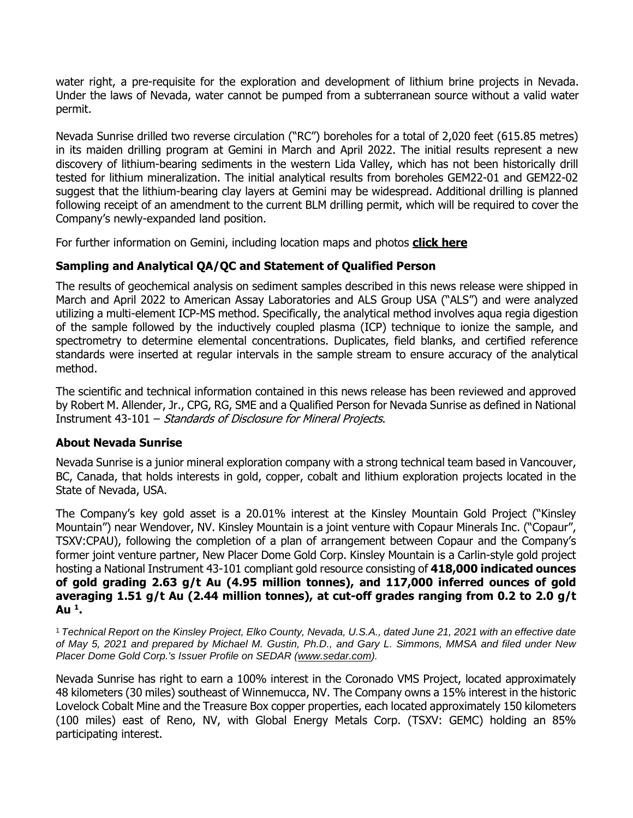water right, a pre-requisite for the exploration and development of lithium brine projects in Nevada. Under the laws of Nevada, water cannot be pumped from a subterranean source without a valid water permit.

Nevada Sunrise drilled two reverse circulation ("RC") boreholes for a total of 2,020 feet (615.85 metres) in its maiden drilling program at Gemini in March and April 2022. The initial results represent a new discovery of lithium-bearing sediments in the western Lida Valley, which has not been historically drill tested for lithium mineralization. The initial analytical results from boreholes GEM22-01 and GEM22-02 suggest that the lithium-bearing clay layers at Gemini may be widespread. Additional drilling is planned following receipt of an amendment to the current BLM drilling permit, which will be required to cover the Company's newly-expanded land position.

For further information on Gemini, including location maps and photos **click [here](https://www.nevadasunrise.ca/projects/nevadalithium/)**

# **Sampling and Analytical QA/QC and Statement of Qualified Person**

The results of geochemical analysis on sediment samples described in this news release were shipped in March and April 2022 to American Assay Laboratories and ALS Group USA ("ALS") and were analyzed utilizing a multi-element ICP-MS method. Specifically, the analytical method involves aqua regia digestion of the sample followed by the inductively coupled plasma (ICP) technique to ionize the sample, and spectrometry to determine elemental concentrations. Duplicates, field blanks, and certified reference standards were inserted at regular intervals in the sample stream to ensure accuracy of the analytical method.

The scientific and technical information contained in this news release has been reviewed and approved by Robert M. Allender, Jr., CPG, RG, SME and a Qualified Person for Nevada Sunrise as defined in National Instrument 43-101 – Standards of Disclosure for Mineral Projects.

## **About Nevada Sunrise**

Nevada Sunrise is a junior mineral exploration company with a strong technical team based in Vancouver, BC, Canada, that holds interests in gold, copper, cobalt and lithium exploration projects located in the State of Nevada, USA.

The Company's key gold asset is a 20.01% interest at the Kinsley Mountain Gold Project ("Kinsley Mountain") near Wendover, NV. Kinsley Mountain is a joint venture with Copaur Minerals Inc. ("Copaur", TSXV:CPAU), following the completion of a plan of arrangement between Copaur and the Company's former joint venture partner, New Placer Dome Gold Corp. Kinsley Mountain is a Carlin-style gold project hosting a National Instrument 43-101 compliant gold resource consisting of **418,000 indicated ounces of gold grading 2.63 g/t Au (4.95 million tonnes), and 117,000 inferred ounces of gold averaging 1.51 g/t Au (2.44 million tonnes), at cut-off grades ranging from 0.2 to 2.0 g/t Au <sup>1</sup> .**

<sup>1</sup> Technical Report on the Kinsley Project, Elko County, Nevada, U.S.A., dated June 21, 2021 with an effective date of May 5, 2021 and prepared by Michael M. Gustin, Ph.D., and Gary L. Simmons, MMSA and filed under New *Placer Dome Gold Corp.'s Issuer Profile on SEDAR [\(www.sedar.com\)](https://c212.net/c/link/?t=0&l=en&o=3232825-1&h=4288497972&u=http%3A%2F%2Fwww.sedar.com%2F&a=www.sedar.com).*

Nevada Sunrise has right to earn a 100% interest in the Coronado VMS Project, located approximately 48 kilometers (30 miles) southeast of Winnemucca, NV. The Company owns a 15% interest in the historic Lovelock Cobalt Mine and the Treasure Box copper properties, each located approximately 150 kilometers (100 miles) east of Reno, NV, with Global Energy Metals Corp. (TSXV: GEMC) holding an 85% participating interest.